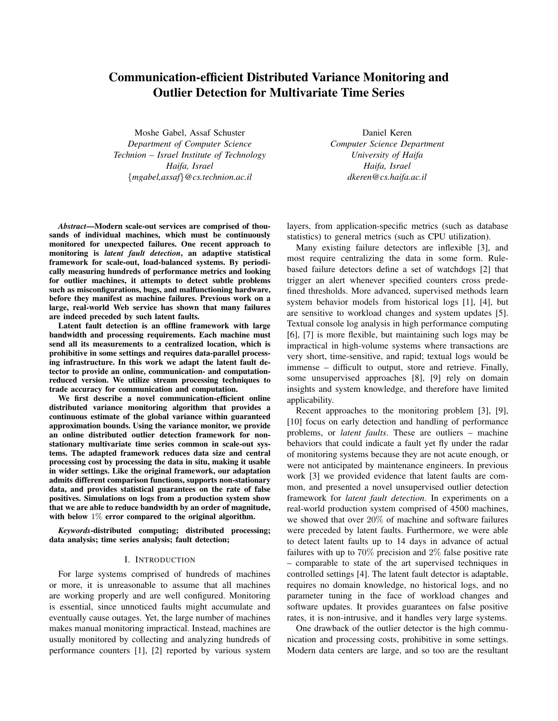# Communication-efficient Distributed Variance Monitoring and Outlier Detection for Multivariate Time Series

Moshe Gabel, Assaf Schuster *Department of Computer Science Technion – Israel Institute of Technology Haifa, Israel* {*mgabel,assaf*}*@cs.technion.ac.il*

Daniel Keren *Computer Science Department University of Haifa Haifa, Israel dkeren@cs.haifa.ac.il*

*Abstract*—Modern scale-out services are comprised of thousands of individual machines, which must be continuously monitored for unexpected failures. One recent approach to monitoring is *latent fault detection*, an adaptive statistical framework for scale-out, load-balanced systems. By periodically measuring hundreds of performance metrics and looking for outlier machines, it attempts to detect subtle problems such as misconfigurations, bugs, and malfunctioning hardware, before they manifest as machine failures. Previous work on a large, real-world Web service has shown that many failures are indeed preceded by such latent faults.

Latent fault detection is an offline framework with large bandwidth and processing requirements. Each machine must send all its measurements to a centralized location, which is prohibitive in some settings and requires data-parallel processing infrastructure. In this work we adapt the latent fault detector to provide an online, communication- and computationreduced version. We utilize stream processing techniques to trade accuracy for communication and computation.

We first describe a novel communication-efficient online distributed variance monitoring algorithm that provides a continuous estimate of the global variance within guaranteed approximation bounds. Using the variance monitor, we provide an online distributed outlier detection framework for nonstationary multivariate time series common in scale-out systems. The adapted framework reduces data size and central processing cost by processing the data in situ, making it usable in wider settings. Like the original framework, our adaptation admits different comparison functions, supports non-stationary data, and provides statistical guarantees on the rate of false positives. Simulations on logs from a production system show that we are able to reduce bandwidth by an order of magnitude, with below 1% error compared to the original algorithm.

*Keywords*-distributed computing; distributed processing; data analysis; time series analysis; fault detection;

### I. INTRODUCTION

For large systems comprised of hundreds of machines or more, it is unreasonable to assume that all machines are working properly and are well configured. Monitoring is essential, since unnoticed faults might accumulate and eventually cause outages. Yet, the large number of machines makes manual monitoring impractical. Instead, machines are usually monitored by collecting and analyzing hundreds of performance counters [1], [2] reported by various system

layers, from application-specific metrics (such as database statistics) to general metrics (such as CPU utilization).

Many existing failure detectors are inflexible [3], and most require centralizing the data in some form. Rulebased failure detectors define a set of watchdogs [2] that trigger an alert whenever specified counters cross predefined thresholds. More advanced, supervised methods learn system behavior models from historical logs [1], [4], but are sensitive to workload changes and system updates [5]. Textual console log analysis in high performance computing [6], [7] is more flexible, but maintaining such logs may be impractical in high-volume systems where transactions are very short, time-sensitive, and rapid; textual logs would be immense – difficult to output, store and retrieve. Finally, some unsupervised approaches [8], [9] rely on domain insights and system knowledge, and therefore have limited applicability.

Recent approaches to the monitoring problem [3], [9], [10] focus on early detection and handling of performance problems, or *latent faults*. These are outliers – machine behaviors that could indicate a fault yet fly under the radar of monitoring systems because they are not acute enough, or were not anticipated by maintenance engineers. In previous work [3] we provided evidence that latent faults are common, and presented a novel unsupervised outlier detection framework for *latent fault detection*. In experiments on a real-world production system comprised of 4500 machines, we showed that over 20% of machine and software failures were preceded by latent faults. Furthermore, we were able to detect latent faults up to 14 days in advance of actual failures with up to 70% precision and 2% false positive rate – comparable to state of the art supervised techniques in controlled settings [4]. The latent fault detector is adaptable, requires no domain knowledge, no historical logs, and no parameter tuning in the face of workload changes and software updates. It provides guarantees on false positive rates, it is non-intrusive, and it handles very large systems.

One drawback of the outlier detector is the high communication and processing costs, prohibitive in some settings. Modern data centers are large, and so too are the resultant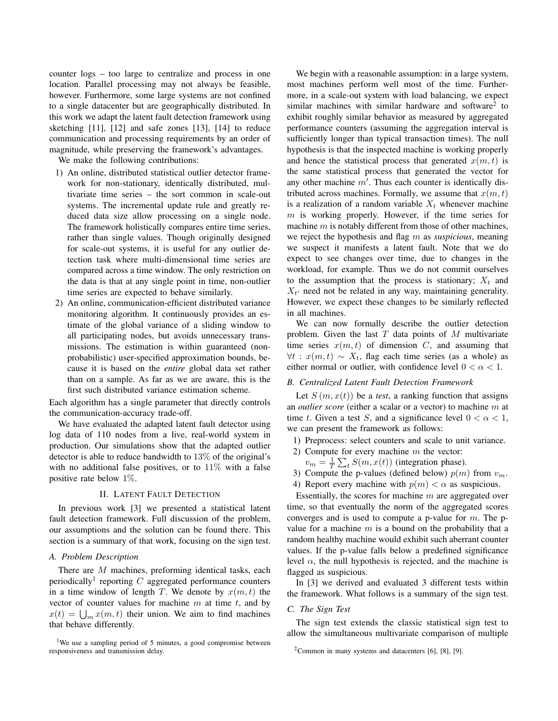counter logs – too large to centralize and process in one location. Parallel processing may not always be feasible, however. Furthermore, some large systems are not confined to a single datacenter but are geographically distributed. In this work we adapt the latent fault detection framework using sketching [11], [12] and safe zones [13], [14] to reduce communication and processing requirements by an order of magnitude, while preserving the framework's advantages.

We make the following contributions:

- 1) An online, distributed statistical outlier detector framework for non-stationary, identically distributed, multivariate time series – the sort common in scale-out systems. The incremental update rule and greatly reduced data size allow processing on a single node. The framework holistically compares entire time series, rather than single values. Though originally designed for scale-out systems, it is useful for any outlier detection task where multi-dimensional time series are compared across a time window. The only restriction on the data is that at any single point in time, non-outlier time series are expected to behave similarly.
- 2) An online, communication-efficient distributed variance monitoring algorithm. It continuously provides an estimate of the global variance of a sliding window to all participating nodes, but avoids unnecessary transmissions. The estimation is within guaranteed (nonprobabilistic) user-specified approximation bounds, because it is based on the *entire* global data set rather than on a sample. As far as we are aware, this is the first such distributed variance estimation scheme.

Each algorithm has a single parameter that directly controls the communication-accuracy trade-off.

We have evaluated the adapted latent fault detector using log data of 110 nodes from a live, real-world system in production. Our simulations show that the adapted outlier detector is able to reduce bandwidth to 13% of the original's with no additional false positives, or to  $11\%$  with a false positive rate below 1%.

#### II. LATENT FAULT DETECTION

In previous work [3] we presented a statistical latent fault detection framework. Full discussion of the problem, our assumptions and the solution can be found there. This section is a summary of that work, focusing on the sign test.

#### *A. Problem Description*

There are M machines, preforming identical tasks, each periodically<sup>1</sup> reporting C aggregated performance counters in a time window of length T. We denote by  $x(m, t)$  the vector of counter values for machine  $m$  at time  $t$ , and by  $x(t) = \bigcup_m x(m, t)$  their union. We aim to find machines that behave differently.

We begin with a reasonable assumption: in a large system, most machines perform well most of the time. Furthermore, in a scale-out system with load balancing, we expect similar machines with similar hardware and software<sup>2</sup> to exhibit roughly similar behavior as measured by aggregated performance counters (assuming the aggregation interval is sufficiently longer than typical transaction times). The null hypothesis is that the inspected machine is working properly and hence the statistical process that generated  $x(m, t)$  is the same statistical process that generated the vector for any other machine  $m'$ . Thus each counter is identically distributed across machines. Formally, we assume that  $x(m, t)$ is a realization of a random variable  $X_t$  whenever machine  $m$  is working properly. However, if the time series for machine  $m$  is notably different from those of other machines, we reject the hypothesis and flag m as *suspicious*, meaning we suspect it manifests a latent fault. Note that we do expect to see changes over time, due to changes in the workload, for example. Thus we do not commit ourselves to the assumption that the process is stationary;  $X_t$  and  $X_{t'}$  need not be related in any way, maintaining generality. However, we expect these changes to be similarly reflected in all machines.

We can now formally describe the outlier detection problem. Given the last  $T$  data points of  $M$  multivariate time series  $x(m, t)$  of dimension C, and assuming that  $\forall t$  :  $x(m, t) \sim X_t$ , flag each time series (as a whole) as either normal or outlier, with confidence level  $0 < \alpha < 1$ .

# *B. Centralized Latent Fault Detection Framework*

Let  $S(m, x(t))$  be a *test*, a ranking function that assigns an *outlier score* (either a scalar or a vector) to machine m at time t. Given a test S, and a significance level  $0 < \alpha < 1$ , we can present the framework as follows:

- 1) Preprocess: select counters and scale to unit variance.
- 2) Compute for every machine  $m$  the vector:
- $v_m = \frac{1}{T} \sum_t S(m, x(t))$  (integration phase).
- 3) Compute the p-values (defined below)  $p(m)$  from  $v_m$ .
- 4) Report every machine with  $p(m) < \alpha$  as suspicious.

Essentially, the scores for machine  $m$  are aggregated over time, so that eventually the norm of the aggregated scores converges and is used to compute a p-value for m. The pvalue for a machine  $m$  is a bound on the probability that a random healthy machine would exhibit such aberrant counter values. If the p-value falls below a predefined significance level  $\alpha$ , the null hypothesis is rejected, and the machine is flagged as suspicious.

In [3] we derived and evaluated 3 different tests within the framework. What follows is a summary of the sign test.

#### *C. The Sign Test*

The sign test extends the classic statistical sign test to allow the simultaneous multivariate comparison of multiple

<sup>&</sup>lt;sup>1</sup>We use a sampling period of 5 minutes, a good compromise between responsiveness and transmission delay.

 $2$ Common in many systems and datacenters [6], [8], [9].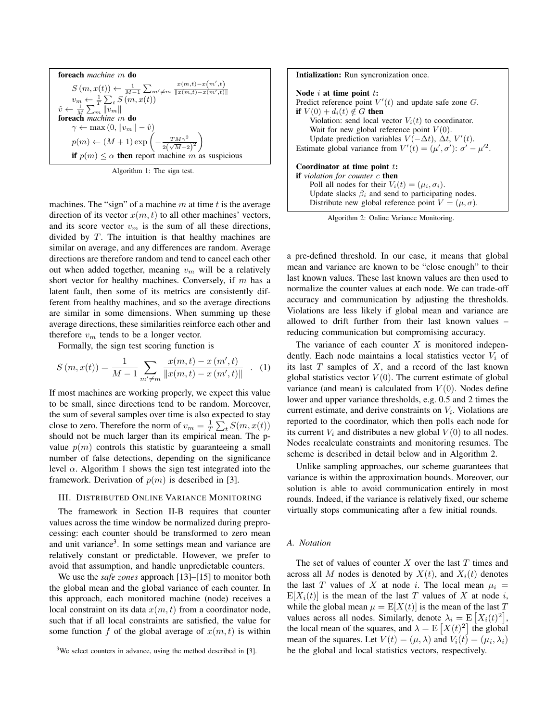

Algorithm 1: The sign test.

machines. The "sign" of a machine  $m$  at time  $t$  is the average direction of its vector  $x(m, t)$  to all other machines' vectors, and its score vector  $v_m$  is the sum of all these directions, divided by T. The intuition is that healthy machines are similar on average, and any differences are random. Average directions are therefore random and tend to cancel each other out when added together, meaning  $v_m$  will be a relatively short vector for healthy machines. Conversely, if  $m$  has a latent fault, then some of its metrics are consistently different from healthy machines, and so the average directions are similar in some dimensions. When summing up these average directions, these similarities reinforce each other and therefore  $v_m$  tends to be a longer vector.

Formally, the sign test scoring function is

$$
S(m, x(t)) = \frac{1}{M - 1} \sum_{m' \neq m} \frac{x(m, t) - x(m', t)}{\|x(m, t) - x(m', t)\|} \quad . \quad (1)
$$

If most machines are working properly, we expect this value to be small, since directions tend to be random. Moreover, the sum of several samples over time is also expected to stay close to zero. Therefore the norm of  $v_m = \frac{1}{T} \sum_t S(m, x(t))$ should not be much larger than its empirical mean. The pvalue  $p(m)$  controls this statistic by guaranteeing a small number of false detections, depending on the significance level  $\alpha$ . Algorithm 1 shows the sign test integrated into the framework. Derivation of  $p(m)$  is described in [3].

# III. DISTRIBUTED ONLINE VARIANCE MONITORING

The framework in Section II-B requires that counter values across the time window be normalized during preprocessing: each counter should be transformed to zero mean and unit variance<sup>3</sup>. In some settings mean and variance are relatively constant or predictable. However, we prefer to avoid that assumption, and handle unpredictable counters.

We use the *safe zones* approach [13]–[15] to monitor both the global mean and the global variance of each counter. In this approach, each monitored machine (node) receives a local constraint on its data  $x(m, t)$  from a coordinator node, such that if all local constraints are satisfied, the value for some function f of the global average of  $x(m, t)$  is within Intialization: Run syncronization once. Node  $i$  at time point  $t$ : Predict reference point  $V'(t)$  and update safe zone  $G$ . if  $V(0) + d_i(t) \notin G$  then Violation: send local vector  $V_i(t)$  to coordinator. Wait for new global reference point  $V(0)$ . Update prediction variables  $V(-\Delta t)$ ,  $\Delta t$ ,  $V'(t)$ . Estimate global variance from  $V'(t) = (\mu', \sigma') : \sigma' - {\mu'}^2$ . Coordinator at time point t: if *violation for counter* c then Poll all nodes for their  $V_i(t) = (\mu_i, \sigma_i)$ . Update slacks  $\beta_i$  and send to participating nodes. Distribute new global reference point  $V = (\mu, \sigma)$ .

Algorithm 2: Online Variance Monitoring.

a pre-defined threshold. In our case, it means that global mean and variance are known to be "close enough" to their last known values. These last known values are then used to normalize the counter values at each node. We can trade-off accuracy and communication by adjusting the thresholds. Violations are less likely if global mean and variance are allowed to drift further from their last known values – reducing communication but compromising accuracy.

The variance of each counter  $X$  is monitored independently. Each node maintains a local statistics vector  $V_i$  of its last  $T$  samples of  $X$ , and a record of the last known global statistics vector  $V(0)$ . The current estimate of global variance (and mean) is calculated from  $V(0)$ . Nodes define lower and upper variance thresholds, e.g. 0.5 and 2 times the current estimate, and derive constraints on  $V_i$ . Violations are reported to the coordinator, which then polls each node for its current  $V_i$  and distributes a new global  $V(0)$  to all nodes. Nodes recalculate constraints and monitoring resumes. The scheme is described in detail below and in Algorithm 2.

Unlike sampling approaches, our scheme guarantees that variance is within the approximation bounds. Moreover, our solution is able to avoid communication entirely in most rounds. Indeed, if the variance is relatively fixed, our scheme virtually stops communicating after a few initial rounds.

#### *A. Notation*

The set of values of counter X over the last  $T$  times and across all M nodes is denoted by  $X(t)$ , and  $X_i(t)$  denotes the last T values of X at node i. The local mean  $\mu_i =$  $E[X_i(t)]$  is the mean of the last T values of X at node i, while the global mean  $\mu = E[X(t)]$  is the mean of the last T values across all nodes. Similarly, denote  $\lambda_i = \mathrm{E}\left[X_i(t)^2\right]$ , the local mean of the squares, and  $\lambda = \mathrm{E}\left[X(t)^2\right]$  the global mean of the squares. Let  $V(t) = (\mu, \lambda)$  and  $V_i(t) = (\mu_i, \lambda_i)$ be the global and local statistics vectors, respectively.

<sup>&</sup>lt;sup>3</sup>We select counters in advance, using the method described in [3].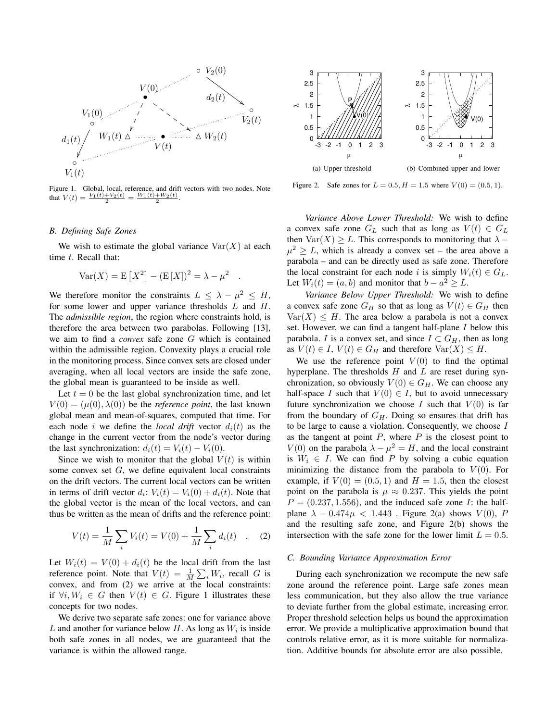

Figure 1. Global, local, reference, and drift vectors with two nodes. Note that  $V(t) = \frac{V_1(t) + V_2(t)}{2} = \frac{W_1(t) + W_2(t)}{2}$ .

## *B. Defining Safe Zones*

We wish to estimate the global variance  $\text{Var}(X)$  at each time t. Recall that:

$$
Var(X) = E[X2] - (E[X])2 = \lambda - \mu2
$$

.

We therefore monitor the constraints  $L \leq \lambda - \mu^2 \leq H$ , for some lower and upper variance thresholds L and H. The *admissible region*, the region where constraints hold, is therefore the area between two parabolas. Following [13], we aim to find a *convex* safe zone G which is contained within the admissible region. Convexity plays a crucial role in the monitoring process. Since convex sets are closed under averaging, when all local vectors are inside the safe zone, the global mean is guaranteed to be inside as well.

Let  $t = 0$  be the last global synchronization time, and let  $V(0) = (\mu(0), \lambda(0))$  be the *reference point*, the last known global mean and mean-of-squares, computed that time. For each node i we define the *local drift* vector  $d_i(t)$  as the change in the current vector from the node's vector during the last synchronization:  $d_i(t) = V_i(t) - V_i(0)$ .

Since we wish to monitor that the global  $V(t)$  is within some convex set  $G$ , we define equivalent local constraints on the drift vectors. The current local vectors can be written in terms of drift vector  $d_i$ :  $V_i(t) = V_i(0) + d_i(t)$ . Note that the global vector is the mean of the local vectors, and can thus be written as the mean of drifts and the reference point:

$$
V(t) = \frac{1}{M} \sum_{i} V_i(t) = V(0) + \frac{1}{M} \sum_{i} d_i(t) \quad . \quad (2)
$$

Let  $W_i(t) = V(0) + d_i(t)$  be the local drift from the last reference point. Note that  $V(t) = \frac{1}{M} \sum_i W_i$ , recall G is convex, and from (2) we arrive at the local constraints: if  $\forall i, W_i \in G$  then  $V(t) \in G$ . Figure 1 illustrates these concepts for two nodes.

We derive two separate safe zones: one for variance above L and another for variance below H. As long as  $W_i$  is inside both safe zones in all nodes, we are guaranteed that the variance is within the allowed range.



Figure 2. Safe zones for  $L = 0.5, H = 1.5$  where  $V(0) = (0.5, 1)$ .

*Variance Above Lower Threshold:* We wish to define a convex safe zone  $G_L$  such that as long as  $V(t) \in G_L$ then  $\text{Var}(X) \geq L$ . This corresponds to monitoring that  $\lambda$  –  $\mu^2 \geq L$ , which is already a convex set – the area above a parabola – and can be directly used as safe zone. Therefore the local constraint for each node i is simply  $W_i(t) \in G_L$ . Let  $W_i(t) = (a, b)$  and monitor that  $b - a^2 \ge L$ .

*Variance Below Upper Threshold:* We wish to define a convex safe zone  $G_H$  so that as long as  $V(t) \in G_H$  then  $Var(X) \leq H$ . The area below a parabola is not a convex set. However, we can find a tangent half-plane I below this parabola. I is a convex set, and since  $I \subset G_H$ , then as long as  $V(t) \in I$ ,  $V(t) \in G_H$  and therefore  $Var(X) \leq H$ .

We use the reference point  $V(0)$  to find the optimal hyperplane. The thresholds  $H$  and  $L$  are reset during synchronization, so obviously  $V(0) \in G_H$ . We can choose any half-space I such that  $V(0) \in I$ , but to avoid unnecessary future synchronization we choose I such that  $V(0)$  is far from the boundary of  $G_H$ . Doing so ensures that drift has to be large to cause a violation. Consequently, we choose I as the tangent at point  $P$ , where  $P$  is the closest point to  $V(0)$  on the parabola  $\lambda - \mu^2 = H$ , and the local constraint is  $W_i \in I$ . We can find P by solving a cubic equation minimizing the distance from the parabola to  $V(0)$ . For example, if  $V(0) = (0.5, 1)$  and  $H = 1.5$ , then the closest point on the parabola is  $\mu \approx 0.237$ . This yields the point  $P = (0.237, 1.556)$ , and the induced safe zone I: the halfplane  $\lambda - 0.474\mu < 1.443$ . Figure 2(a) shows  $V(0)$ , P and the resulting safe zone, and Figure 2(b) shows the intersection with the safe zone for the lower limit  $L = 0.5$ .

#### *C. Bounding Variance Approximation Error*

During each synchronization we recompute the new safe zone around the reference point. Large safe zones mean less communication, but they also allow the true variance to deviate further from the global estimate, increasing error. Proper threshold selection helps us bound the approximation error. We provide a multiplicative approximation bound that controls relative error, as it is more suitable for normalization. Additive bounds for absolute error are also possible.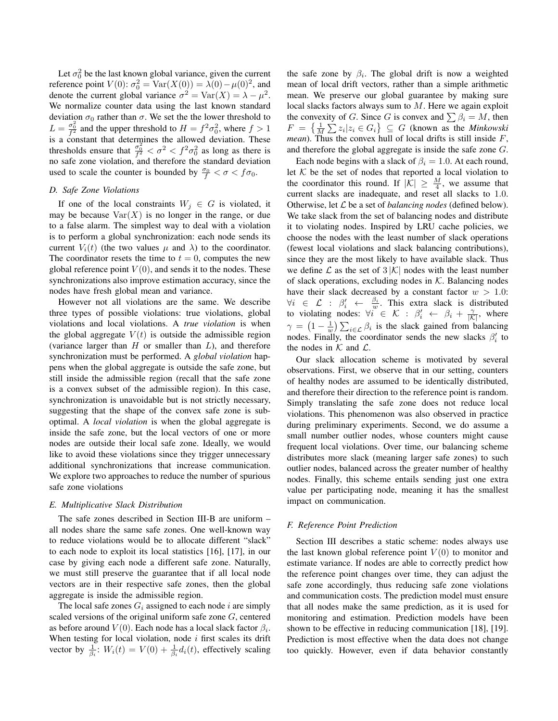Let  $\sigma_0^2$  be the last known global variance, given the current reference point  $V(0)$ :  $\sigma_0^2 = \text{Var}(X(0)) = \lambda(0) - \mu(0)^2$ , and denote the current global variance  $\sigma^2 = \text{Var}(X) = \lambda - \mu^2$ . We normalize counter data using the last known standard deviation  $\sigma_0$  rather than  $\sigma$ . We set the the lower threshold to  $L = \frac{\sigma_0^2}{f^2}$  and the upper threshold to  $H = f^2 \sigma_0^2$ , where  $f > 1$ is a constant that determines the allowed deviation. These thresholds ensure that  $\frac{\sigma_0^2}{f^2} < \sigma^2 < f^2 \sigma_0^2$  as long as there is no safe zone violation, and therefore the standard deviation used to scale the counter is bounded by  $\frac{\sigma_0}{f} < \sigma < f\sigma_0$ .

# *D. Safe Zone Violations*

If one of the local constraints  $W_j \in G$  is violated, it may be because  $\text{Var}(X)$  is no longer in the range, or due to a false alarm. The simplest way to deal with a violation is to perform a global synchronization: each node sends its current  $V_i(t)$  (the two values  $\mu$  and  $\lambda$ ) to the coordinator. The coordinator resets the time to  $t = 0$ , computes the new global reference point  $V(0)$ , and sends it to the nodes. These synchronizations also improve estimation accuracy, since the nodes have fresh global mean and variance.

However not all violations are the same. We describe three types of possible violations: true violations, global violations and local violations. A *true violation* is when the global aggregate  $V(t)$  is outside the admissible region (variance larger than  $H$  or smaller than  $L$ ), and therefore synchronization must be performed. A *global violation* happens when the global aggregate is outside the safe zone, but still inside the admissible region (recall that the safe zone is a convex subset of the admissible region). In this case, synchronization is unavoidable but is not strictly necessary, suggesting that the shape of the convex safe zone is suboptimal. A *local violation* is when the global aggregate is inside the safe zone, but the local vectors of one or more nodes are outside their local safe zone. Ideally, we would like to avoid these violations since they trigger unnecessary additional synchronizations that increase communication. We explore two approaches to reduce the number of spurious safe zone violations

### *E. Multiplicative Slack Distribution*

The safe zones described in Section III-B are uniform – all nodes share the same safe zones. One well-known way to reduce violations would be to allocate different "slack" to each node to exploit its local statistics [16], [17], in our case by giving each node a different safe zone. Naturally, we must still preserve the guarantee that if all local node vectors are in their respective safe zones, then the global aggregate is inside the admissible region.

The local safe zones  $G_i$  assigned to each node i are simply scaled versions of the original uniform safe zone G, centered as before around  $V(0)$ . Each node has a local slack factor  $\beta_i$ . When testing for local violation, node  $i$  first scales its drift vector by  $\frac{1}{\beta_i}$ :  $W_i(t) = V(0) + \frac{1}{\beta_i}d_i(t)$ , effectively scaling

the safe zone by  $\beta_i$ . The global drift is now a weighted mean of local drift vectors, rather than a simple arithmetic mean. We preserve our global guarantee by making sure local slacks factors always sum to M. Here we again exploit the convexity of G. Since G is convex and  $\sum \beta_i = M$ , then  $F = \left\{ \frac{1}{M} \sum z_i | z_i \in G_i \right\} \subseteq G$  (known as the *Minkowski mean*). Thus the convex hull of local drifts is still inside F, and therefore the global aggregate is inside the safe zone G.

Each node begins with a slack of  $\beta_i = 1.0$ . At each round, let  $K$  be the set of nodes that reported a local violation to the coordinator this round. If  $|\mathcal{K}| \geq \frac{M}{4}$ , we assume that current slacks are inadequate, and reset all slacks to 1.0. Otherwise, let L be a set of *balancing nodes* (defined below). We take slack from the set of balancing nodes and distribute it to violating nodes. Inspired by LRU cache policies, we choose the nodes with the least number of slack operations (fewest local violations and slack balancing contributions), since they are the most likely to have available slack. Thus we define  $\mathcal L$  as the set of  $3 |\mathcal K|$  nodes with the least number of slack operations, excluding nodes in  $K$ . Balancing nodes have their slack decreased by a constant factor  $w > 1.0$ :  $\forall i \in \mathcal{L} : \beta'_i \leftarrow \frac{\beta_i}{w}$ . This extra slack is distributed to violating nodes:  $\forall i \in \mathcal{K} : \beta_i' \leftarrow \beta_i + \frac{\gamma}{|\mathcal{K}|},$  where  $\gamma = (1 - \frac{1}{w}) \sum_{i \in \mathcal{L}} \beta_i$  is the slack gained from balancing nodes. Finally, the coordinator sends the new slacks  $\beta_i'$  to the nodes in  $K$  and  $\mathcal{L}$ .

Our slack allocation scheme is motivated by several observations. First, we observe that in our setting, counters of healthy nodes are assumed to be identically distributed, and therefore their direction to the reference point is random. Simply translating the safe zone does not reduce local violations. This phenomenon was also observed in practice during preliminary experiments. Second, we do assume a small number outlier nodes, whose counters might cause frequent local violations. Over time, our balancing scheme distributes more slack (meaning larger safe zones) to such outlier nodes, balanced across the greater number of healthy nodes. Finally, this scheme entails sending just one extra value per participating node, meaning it has the smallest impact on communication.

### *F. Reference Point Prediction*

Section III describes a static scheme: nodes always use the last known global reference point  $V(0)$  to monitor and estimate variance. If nodes are able to correctly predict how the reference point changes over time, they can adjust the safe zone accordingly, thus reducing safe zone violations and communication costs. The prediction model must ensure that all nodes make the same prediction, as it is used for monitoring and estimation. Prediction models have been shown to be effective in reducing communication [18], [19]. Prediction is most effective when the data does not change too quickly. However, even if data behavior constantly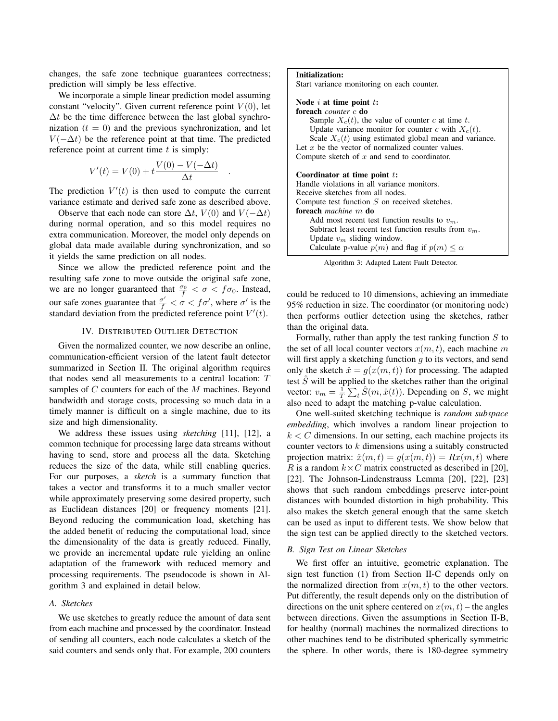changes, the safe zone technique guarantees correctness; prediction will simply be less effective.

We incorporate a simple linear prediction model assuming constant "velocity". Given current reference point  $V(0)$ , let  $\Delta t$  be the time difference between the last global synchronization  $(t = 0)$  and the previous synchronization, and let  $V(-\Delta t)$  be the reference point at that time. The predicted reference point at current time  $t$  is simply:

$$
V'(t) = V(0) + t \frac{V(0) - V(-\Delta t)}{\Delta t}
$$

.

The prediction  $V'(t)$  is then used to compute the current variance estimate and derived safe zone as described above.

Observe that each node can store  $\Delta t$ ,  $V(0)$  and  $V(-\Delta t)$ during normal operation, and so this model requires no extra communication. Moreover, the model only depends on global data made available during synchronization, and so it yields the same prediction on all nodes.

Since we allow the predicted reference point and the resulting safe zone to move outside the original safe zone, we are no longer guaranteed that  $\frac{\sigma_0}{f} < \sigma < f\sigma_0$ . Instead, our safe zones guarantee that  $\frac{\sigma'}{f} < \sigma < f\sigma'$ , where  $\sigma'$  is the standard deviation from the predicted reference point  $V'(t)$ .

# IV. DISTRIBUTED OUTLIER DETECTION

Given the normalized counter, we now describe an online, communication-efficient version of the latent fault detector summarized in Section II. The original algorithm requires that nodes send all measurements to a central location: T samples of C counters for each of the M machines. Beyond bandwidth and storage costs, processing so much data in a timely manner is difficult on a single machine, due to its size and high dimensionality.

We address these issues using *sketching* [11], [12], a common technique for processing large data streams without having to send, store and process all the data. Sketching reduces the size of the data, while still enabling queries. For our purposes, a *sketch* is a summary function that takes a vector and transforms it to a much smaller vector while approximately preserving some desired property, such as Euclidean distances [20] or frequency moments [21]. Beyond reducing the communication load, sketching has the added benefit of reducing the computational load, since the dimensionality of the data is greatly reduced. Finally, we provide an incremental update rule yielding an online adaptation of the framework with reduced memory and processing requirements. The pseudocode is shown in Algorithm 3 and explained in detail below.

# *A. Sketches*

We use sketches to greatly reduce the amount of data sent from each machine and processed by the coordinator. Instead of sending all counters, each node calculates a sketch of the said counters and sends only that. For example, 200 counters

# Initialization:

Start variance monitoring on each counter.

# Node  $i$  at time point  $t$ :

foreach *counter* c do Sample  $X_c(t)$ , the value of counter c at time t. Update variance monitor for counter c with  $X_c(t)$ . Scale  $X_c(t)$  using estimated global mean and variance. Let  $x$  be the vector of normalized counter values. Compute sketch of  $x$  and send to coordinator.

### Coordinator at time point t:

Handle violations in all variance monitors. Receive sketches from all nodes. Compute test function S on received sketches. foreach *machine* m do Add most recent test function results to  $v_m$ . Subtract least recent test function results from  $v_m$ . Update  $v_m$  sliding window. Calculate p-value  $p(m)$  and flag if  $p(m) \leq \alpha$ 

Algorithm 3: Adapted Latent Fault Detector.

could be reduced to 10 dimensions, achieving an immediate 95% reduction in size. The coordinator (or monitoring node) then performs outlier detection using the sketches, rather than the original data.

Formally, rather than apply the test ranking function  $S$  to the set of all local counter vectors  $x(m, t)$ , each machine m will first apply a sketching function  $g$  to its vectors, and send only the sketch  $\hat{x} = g(x(m, t))$  for processing. The adapted test  $S$  will be applied to the sketches rather than the original vector:  $v_m = \frac{1}{T} \sum_t \hat{S}(m, \hat{x}(t))$ . Depending on S, we might also need to adapt the matching p-value calculation.

One well-suited sketching technique is *random subspace embedding*, which involves a random linear projection to  $k < C$  dimensions. In our setting, each machine projects its counter vectors to k dimensions using a suitably constructed projection matrix:  $\hat{x}(m, t) = g(x(m, t)) = Rx(m, t)$  where R is a random  $k \times C$  matrix constructed as described in [20], [22]. The Johnson-Lindenstrauss Lemma [20], [22], [23] shows that such random embeddings preserve inter-point distances with bounded distortion in high probability. This also makes the sketch general enough that the same sketch can be used as input to different tests. We show below that the sign test can be applied directly to the sketched vectors.

# *B. Sign Test on Linear Sketches*

We first offer an intuitive, geometric explanation. The sign test function (1) from Section II-C depends only on the normalized direction from  $x(m, t)$  to the other vectors. Put differently, the result depends only on the distribution of directions on the unit sphere centered on  $x(m, t)$  – the angles between directions. Given the assumptions in Section II-B, for healthy (normal) machines the normalized directions to other machines tend to be distributed spherically symmetric the sphere. In other words, there is 180-degree symmetry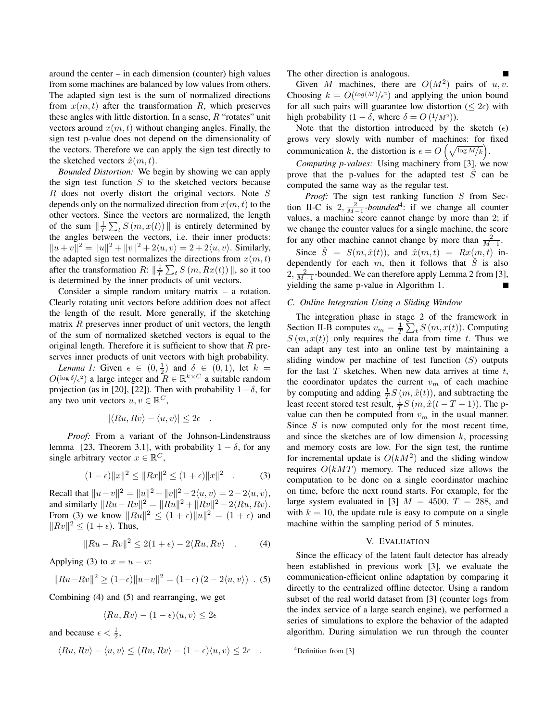around the center – in each dimension (counter) high values from some machines are balanced by low values from others. The adapted sign test is the sum of normalized directions from  $x(m, t)$  after the transformation R, which preserves these angles with little distortion. In a sense,  $R$  "rotates" unit vectors around  $x(m, t)$  without changing angles. Finally, the sign test p-value does not depend on the dimensionality of the vectors. Therefore we can apply the sign test directly to the sketched vectors  $\hat{x}(m, t)$ .

*Bounded Distortion:* We begin by showing we can apply the sign test function  $S$  to the sketched vectors because R does not overly distort the original vectors. Note S depends only on the normalized direction from  $x(m, t)$  to the other vectors. Since the vectors are normalized, the length of the sum  $\|\frac{1}{T}\sum_{t} S(m, x(t))\|$  is entirely determined by the angles between the vectors, i.e. their inner products:  $||u + v||^2 = ||u||^2 + ||v||^2 + 2\langle u, v \rangle = 2 + 2\langle u, v \rangle$ . Similarly, the adapted sign test normalizes the directions from  $x(m, t)$ after the transformation  $R: \|\frac{1}{T} \sum_{t} S(m, Rx(t))\|$ , so it too is determined by the inner products of unit vectors.

Consider a simple random unitary matrix – a rotation. Clearly rotating unit vectors before addition does not affect the length of the result. More generally, if the sketching matrix  $R$  preserves inner product of unit vectors, the length of the sum of normalized sketched vectors is equal to the original length. Therefore it is sufficient to show that  $R$  preserves inner products of unit vectors with high probability.

*Lemma 1:* Given  $\epsilon \in (0, \frac{1}{2})$  and  $\delta \in (0, 1)$ , let  $k =$  $O(\log \delta/\epsilon^2)$  a large integer and  $R \in \mathbb{R}^{k \times C}$  a suitable random projection (as in [20], [22]). Then with probability  $1-\delta$ , for any two unit vectors  $u, v \in \mathbb{R}^C$ ,

$$
|\langle Ru, Rv \rangle - \langle u, v \rangle| \leq 2\epsilon.
$$

*Proof:* From a variant of the Johnson-Lindenstrauss lemma [23, Theorem 3.1], with probability  $1 - \delta$ , for any single arbitrary vector  $x \in \mathbb{R}^C$ ,

$$
(1 - \epsilon) \|x\|^2 \le \|Rx\|^2 \le (1 + \epsilon) \|x\|^2 \quad . \tag{3}
$$

Recall that  $||u - v||^2 = ||u||^2 + ||v||^2 - 2\langle u, v \rangle = 2 - 2\langle u, v \rangle$ , and similarly  $||Ru - Rv||^2 = ||Ru||^2 + ||Rv||^2 - 2\langle Ru, Rv \rangle$ . From (3) we know  $||Ru||^2 \le (1 + \epsilon) ||u||^2 = (1 + \epsilon)$  and  $||Rv||^2 \leq (1 + \epsilon)$ . Thus,

$$
||Ru - Rv||2 \le 2(1 + \epsilon) - 2\langle Ru, Rv \rangle . \tag{4}
$$

Applying (3) to  $x = u - v$ :

$$
||Ru - Rv||2 \ge (1 - \epsilon) ||u - v||2 = (1 - \epsilon) (2 - 2\langle u, v \rangle) . (5)
$$

Combining (4) and (5) and rearranging, we get

$$
\langle Ru, Rv \rangle - (1 - \epsilon) \langle u, v \rangle \le 2\epsilon
$$

and because  $\epsilon < \frac{1}{2}$ ,

$$
\langle Ru, Rv \rangle - \langle u, v \rangle \le \langle Ru, Rv \rangle - (1 - \epsilon) \langle u, v \rangle \le 2\epsilon.
$$

The other direction is analogous.

Given M machines, there are  $O(M^2)$  pairs of u, v. Choosing  $k = O(\log(M)/\epsilon^2)$  and applying the union bound for all such pairs will guarantee low distortion ( $\leq 2\epsilon$ ) with high probability  $(1 - \delta)$ , where  $\delta = O(1/M^2)$ .

Note that the distortion introduced by the sketch  $(\epsilon)$ grows very slowly with number of machines: for fixed communication k, the distortion is  $\epsilon = O\left(\sqrt{\log M/k}\right)$ .

*Computing p-values:* Using machinery from [3], we now prove that the p-values for the adapted test  $\ddot{S}$  can be computed the same way as the regular test.

Proof: The sign test ranking function S from Section II-C is  $2, \frac{2}{M-1}$ *-bounded*<sup>4</sup>: if we change all counter values, a machine score cannot change by more than 2; if we change the counter values for a single machine, the score for any other machine cannot change by more than  $\frac{2}{M-1}$ .

Since  $\hat{S} = S(m, \hat{x}(t))$ , and  $\hat{x}(m, t) = Rx(m, t)$  independently for each m, then it follows that  $\hat{S}$  is also  $2, \frac{2}{M-1}$ -bounded. We can therefore apply Lemma 2 from [3], yielding the same p-value in Algorithm 1.

#### *C. Online Integration Using a Sliding Window*

The integration phase in stage 2 of the framework in Section II-B computes  $v_m = \frac{1}{T} \sum_t S(m, x(t))$ . Computing  $S(m, x(t))$  only requires the data from time t. Thus we can adapt any test into an online test by maintaining a sliding window per machine of test function  $(S)$  outputs for the last  $T$  sketches. When new data arrives at time  $t$ , the coordinator updates the current  $v_m$  of each machine by computing and adding  $\frac{1}{T}S(m,\hat{x}(t))$ , and subtracting the least recent stored test result,  $\frac{1}{T}S(m,\hat{x}(t-T-1))$ . The pvalue can then be computed from  $v_m$  in the usual manner. Since  $S$  is now computed only for the most recent time, and since the sketches are of low dimension  $k$ , processing and memory costs are low. For the sign test, the runtime for incremental update is  $O(kM^2)$  and the sliding window requires  $O(kMT)$  memory. The reduced size allows the computation to be done on a single coordinator machine on time, before the next round starts. For example, for the large system evaluated in [3]  $M = 4500$ ,  $T = 288$ , and with  $k = 10$ , the update rule is easy to compute on a single machine within the sampling period of 5 minutes.

# V. EVALUATION

Since the efficacy of the latent fault detector has already been established in previous work [3], we evaluate the communication-efficient online adaptation by comparing it directly to the centralized offline detector. Using a random subset of the real world dataset from [3] (counter logs from the index service of a large search engine), we performed a series of simulations to explore the behavior of the adapted algorithm. During simulation we run through the counter

<sup>4</sup>Definition from [3]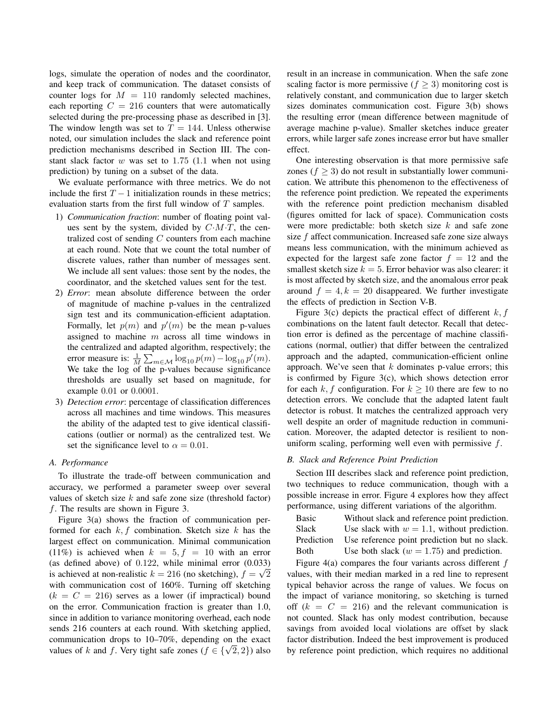logs, simulate the operation of nodes and the coordinator, and keep track of communication. The dataset consists of counter logs for  $M = 110$  randomly selected machines, each reporting  $C = 216$  counters that were automatically selected during the pre-processing phase as described in [3]. The window length was set to  $T = 144$ . Unless otherwise noted, our simulation includes the slack and reference point prediction mechanisms described in Section III. The constant slack factor  $w$  was set to 1.75 (1.1 when not using prediction) by tuning on a subset of the data.

We evaluate performance with three metrics. We do not include the first  $T - 1$  initialization rounds in these metrics; evaluation starts from the first full window of  $T$  samples.

- 1) *Communication fraction*: number of floating point values sent by the system, divided by  $C \cdot M \cdot T$ , the centralized cost of sending  $C$  counters from each machine at each round. Note that we count the total number of discrete values, rather than number of messages sent. We include all sent values: those sent by the nodes, the coordinator, and the sketched values sent for the test.
- 2) *Error*: mean absolute difference between the order of magnitude of machine p-values in the centralized sign test and its communication-efficient adaptation. Formally, let  $p(m)$  and  $p'(m)$  be the mean p-values assigned to machine m across all time windows in the centralized and adapted algorithm, respectively; the error measure is:  $\frac{1}{M} \sum_{m \in \mathcal{M}} \log_{10} p(m) - \log_{10} p'(m)$ . We take the log of the p-values because significance thresholds are usually set based on magnitude, for example 0.01 or 0.0001.
- 3) *Detection error*: percentage of classification differences across all machines and time windows. This measures the ability of the adapted test to give identical classifications (outlier or normal) as the centralized test. We set the significance level to  $\alpha = 0.01$ .

## *A. Performance*

To illustrate the trade-off between communication and accuracy, we performed a parameter sweep over several values of sketch size  $k$  and safe zone size (threshold factor) f. The results are shown in Figure 3.

Figure 3(a) shows the fraction of communication performed for each  $k, f$  combination. Sketch size k has the largest effect on communication. Minimal communication (11%) is achieved when  $k = 5, f = 10$  with an error (as defined above) of 0.122, while minimal error  $(0.033)$ is achieved at non-realistic  $k = 216$  (no sketching),  $f = \sqrt{2}$ with communication cost of 160%. Turning off sketching  $(k = C = 216)$  serves as a lower (if impractical) bound on the error. Communication fraction is greater than 1.0, since in addition to variance monitoring overhead, each node sends 216 counters at each round. With sketching applied, communication drops to 10–70%, depending on the exact communication drops to 10–70%, depending on the exact<br>values of k and f. Very tight safe zones ( $f \in \{\sqrt{2}, 2\}$ ) also

result in an increase in communication. When the safe zone scaling factor is more permissive ( $f \geq 3$ ) monitoring cost is relatively constant, and communication due to larger sketch sizes dominates communication cost. Figure 3(b) shows the resulting error (mean difference between magnitude of average machine p-value). Smaller sketches induce greater errors, while larger safe zones increase error but have smaller effect.

One interesting observation is that more permissive safe zones ( $f > 3$ ) do not result in substantially lower communication. We attribute this phenomenon to the effectiveness of the reference point prediction. We repeated the experiments with the reference point prediction mechanism disabled (figures omitted for lack of space). Communication costs were more predictable: both sketch size  $k$  and safe zone size f affect communication. Increased safe zone size always means less communication, with the minimum achieved as expected for the largest safe zone factor  $f = 12$  and the smallest sketch size  $k = 5$ . Error behavior was also clearer: it is most affected by sketch size, and the anomalous error peak around  $f = 4, k = 20$  disappeared. We further investigate the effects of prediction in Section V-B.

Figure 3(c) depicts the practical effect of different  $k, f$ combinations on the latent fault detector. Recall that detection error is defined as the percentage of machine classifications (normal, outlier) that differ between the centralized approach and the adapted, communication-efficient online approach. We've seen that  $k$  dominates p-value errors; this is confirmed by Figure 3(c), which shows detection error for each k, f configuration. For  $k \ge 10$  there are few to no detection errors. We conclude that the adapted latent fault detector is robust. It matches the centralized approach very well despite an order of magnitude reduction in communication. Moreover, the adapted detector is resilient to nonuniform scaling, performing well even with permissive  $f$ .

# *B. Slack and Reference Point Prediction*

Section III describes slack and reference point prediction, two techniques to reduce communication, though with a possible increase in error. Figure 4 explores how they affect performance, using different variations of the algorithm.

| Basic       | Without slack and reference point prediction.  |
|-------------|------------------------------------------------|
| Slack       | Use slack with $w = 1.1$ , without prediction. |
| Prediction  | Use reference point prediction but no slack.   |
| <b>Both</b> | Use both slack ( $w = 1.75$ ) and prediction.  |

Figure 4(a) compares the four variants across different  $f$ values, with their median marked in a red line to represent typical behavior across the range of values. We focus on the impact of variance monitoring, so sketching is turned off  $(k = C = 216)$  and the relevant communication is not counted. Slack has only modest contribution, because savings from avoided local violations are offset by slack factor distribution. Indeed the best improvement is produced by reference point prediction, which requires no additional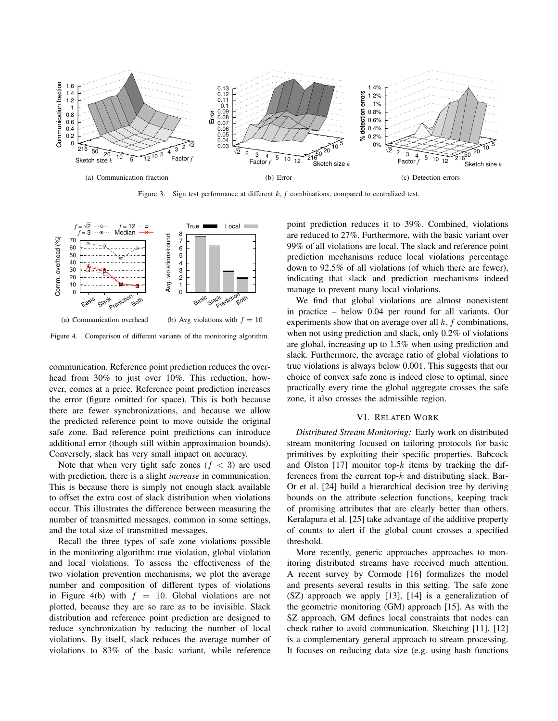

Figure 3. Sign test performance at different  $k, f$  combinations, compared to centralized test.



Figure 4. Comparison of different variants of the monitoring algorithm.

communication. Reference point prediction reduces the overhead from 30% to just over 10%. This reduction, however, comes at a price. Reference point prediction increases the error (figure omitted for space). This is both because there are fewer synchronizations, and because we allow the predicted reference point to move outside the original safe zone. Bad reference point predictions can introduce additional error (though still within approximation bounds). Conversely, slack has very small impact on accuracy.

Note that when very tight safe zones  $(f < 3)$  are used with prediction, there is a slight *increase* in communication. This is because there is simply not enough slack available to offset the extra cost of slack distribution when violations occur. This illustrates the difference between measuring the number of transmitted messages, common in some settings, and the total size of transmitted messages.

Recall the three types of safe zone violations possible in the monitoring algorithm: true violation, global violation and local violations. To assess the effectiveness of the two violation prevention mechanisms, we plot the average number and composition of different types of violations in Figure 4(b) with  $f = 10$ . Global violations are not plotted, because they are so rare as to be invisible. Slack distribution and reference point prediction are designed to reduce synchronization by reducing the number of local violations. By itself, slack reduces the average number of violations to 83% of the basic variant, while reference point prediction reduces it to 39%. Combined, violations are reduced to 27%. Furthermore, with the basic variant over 99% of all violations are local. The slack and reference point prediction mechanisms reduce local violations percentage down to 92.5% of all violations (of which there are fewer), indicating that slack and prediction mechanisms indeed manage to prevent many local violations.

We find that global violations are almost nonexistent in practice – below 0.04 per round for all variants. Our experiments show that on average over all  $k$ ,  $f$  combinations, when not using prediction and slack, only 0.2% of violations are global, increasing up to 1.5% when using prediction and slack. Furthermore, the average ratio of global violations to true violations is always below 0.001. This suggests that our choice of convex safe zone is indeed close to optimal, since practically every time the global aggregate crosses the safe zone, it also crosses the admissible region.

#### VI. RELATED WORK

*Distributed Stream Monitoring:* Early work on distributed stream monitoring focused on tailoring protocols for basic primitives by exploiting their specific properties. Babcock and Olston  $[17]$  monitor top- $k$  items by tracking the differences from the current top- $k$  and distributing slack. Bar-Or et al. [24] build a hierarchical decision tree by deriving bounds on the attribute selection functions, keeping track of promising attributes that are clearly better than others. Keralapura et al. [25] take advantage of the additive property of counts to alert if the global count crosses a specified threshold.

More recently, generic approaches approaches to monitoring distributed streams have received much attention. A recent survey by Cormode [16] formalizes the model and presents several results in this setting. The safe zone (SZ) approach we apply [13], [14] is a generalization of the geometric monitoring (GM) approach [15]. As with the SZ approach, GM defines local constraints that nodes can check rather to avoid communication. Sketching [11], [12] is a complementary general approach to stream processing. It focuses on reducing data size (e.g. using hash functions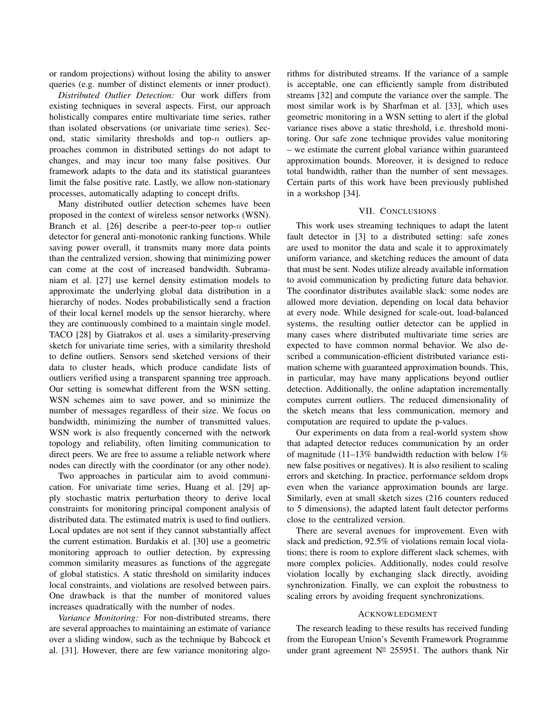or random projections) without losing the ability to answer queries (e.g. number of distinct elements or inner product).

*Distributed Outlier Detection:* Our work differs from existing techniques in several aspects. First, our approach holistically compares entire multivariate time series, rather than isolated observations (or univariate time series). Second, static similarity thresholds and top- $n$  outliers approaches common in distributed settings do not adapt to changes, and may incur too many false positives. Our framework adapts to the data and its statistical guarantees limit the false positive rate. Lastly, we allow non-stationary processes, automatically adapting to concept drifts.

Many distributed outlier detection schemes have been proposed in the context of wireless sensor networks (WSN). Branch et al. [26] describe a peer-to-peer top- $n$  outlier detector for general anti-monotonic ranking functions. While saving power overall, it transmits many more data points than the centralized version, showing that minimizing power can come at the cost of increased bandwidth. Subramaniam et al. [27] use kernel density estimation models to approximate the underlying global data distribution in a hierarchy of nodes. Nodes probabilistically send a fraction of their local kernel models up the sensor hierarchy, where they are continuously combined to a maintain single model. TACO [28] by Giatrakos et al. uses a similarity-preserving sketch for univariate time series, with a similarity threshold to define outliers. Sensors send sketched versions of their data to cluster heads, which produce candidate lists of outliers verified using a transparent spanning tree approach. Our setting is somewhat different from the WSN setting. WSN schemes aim to save power, and so minimize the number of messages regardless of their size. We focus on bandwidth, minimizing the number of transmitted values. WSN work is also frequently concerned with the network topology and reliability, often limiting communication to direct peers. We are free to assume a reliable network where nodes can directly with the coordinator (or any other node).

Two approaches in particular aim to avoid communication. For univariate time series, Huang et al. [29] apply stochastic matrix perturbation theory to derive local constraints for monitoring principal component analysis of distributed data. The estimated matrix is used to find outliers. Local updates are not sent if they cannot substantially affect the current estimation. Burdakis et al. [30] use a geometric monitoring approach to outlier detection, by expressing common similarity measures as functions of the aggregate of global statistics. A static threshold on similarity induces local constraints, and violations are resolved between pairs. One drawback is that the number of monitored values increases quadratically with the number of nodes.

*Variance Monitoring:* For non-distributed streams, there are several approaches to maintaining an estimate of variance over a sliding window, such as the technique by Babcock et al. [31]. However, there are few variance monitoring algorithms for distributed streams. If the variance of a sample is acceptable, one can efficiently sample from distributed streams [32] and compute the variance over the sample. The most similar work is by Sharfman et al. [33], which uses geometric monitoring in a WSN setting to alert if the global variance rises above a static threshold, i.e. threshold monitoring. Our safe zone technique provides value monitoring – we estimate the current global variance within guaranteed approximation bounds. Moreover, it is designed to reduce total bandwidth, rather than the number of sent messages. Certain parts of this work have been previously published in a workshop [34].

# VII. CONCLUSIONS

This work uses streaming techniques to adapt the latent fault detector in [3] to a distributed setting: safe zones are used to monitor the data and scale it to approximately uniform variance, and sketching reduces the amount of data that must be sent. Nodes utilize already available information to avoid communication by predicting future data behavior. The coordinator distributes available slack: some nodes are allowed more deviation, depending on local data behavior at every node. While designed for scale-out, load-balanced systems, the resulting outlier detector can be applied in many cases where distributed multivariate time series are expected to have common normal behavior. We also described a communication-efficient distributed variance estimation scheme with guaranteed approximation bounds. This, in particular, may have many applications beyond outlier detection. Additionally, the online adaptation incrementally computes current outliers. The reduced dimensionality of the sketch means that less communication, memory and computation are required to update the p-values.

Our experiments on data from a real-world system show that adapted detector reduces communication by an order of magnitude (11–13% bandwidth reduction with below  $1\%$ new false positives or negatives). It is also resilient to scaling errors and sketching. In practice, performance seldom drops even when the variance approximation bounds are large. Similarly, even at small sketch sizes (216 counters reduced to 5 dimensions), the adapted latent fault detector performs close to the centralized version.

There are several avenues for improvement. Even with slack and prediction, 92.5% of violations remain local violations; there is room to explore different slack schemes, with more complex policies. Additionally, nodes could resolve violation locally by exchanging slack directly, avoiding synchronization. Finally, we can exploit the robustness to scaling errors by avoiding frequent synchronizations.

## ACKNOWLEDGMENT

The research leading to these results has received funding from the European Union's Seventh Framework Programme under grant agreement  $N^{\circ}$  255951. The authors thank Nir